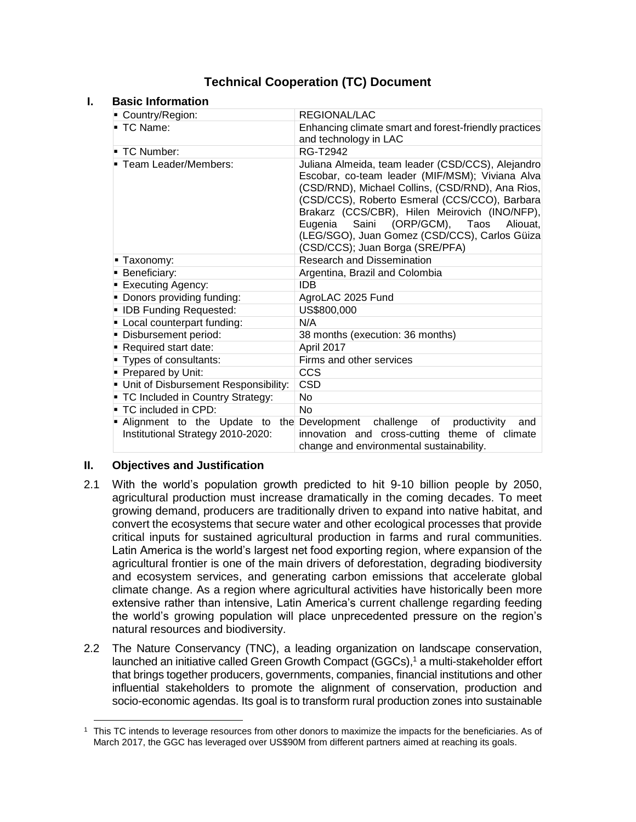# **Technical Cooperation (TC) Document**

## **I. Basic Information**

| ■ Country/Region:                    | <b>REGIONAL/LAC</b>                                                                                                                                                                                                                                                                                                                                                                            |  |
|--------------------------------------|------------------------------------------------------------------------------------------------------------------------------------------------------------------------------------------------------------------------------------------------------------------------------------------------------------------------------------------------------------------------------------------------|--|
| $\blacksquare$ TC Name:              | Enhancing climate smart and forest-friendly practices<br>and technology in LAC                                                                                                                                                                                                                                                                                                                 |  |
| ■ TC Number:                         | RG-T2942                                                                                                                                                                                                                                                                                                                                                                                       |  |
| ■ Team Leader/Members:               | Juliana Almeida, team leader (CSD/CCS), Alejandro<br>Escobar, co-team leader (MIF/MSM); Viviana Alva<br>(CSD/RND), Michael Collins, (CSD/RND), Ana Rios,<br>(CSD/CCS), Roberto Esmeral (CCS/CCO), Barbara<br>Brakarz (CCS/CBR), Hilen Meirovich (INO/NFP),<br>Saini (ORP/GCM), Taos<br>Eugenia<br>Aliouat.<br>(LEG/SGO), Juan Gomez (CSD/CCS), Carlos Güiza<br>(CSD/CCS); Juan Borga (SRE/PFA) |  |
| ■ Taxonomy:                          | <b>Research and Dissemination</b>                                                                                                                                                                                                                                                                                                                                                              |  |
| <b>Beneficiary:</b>                  | Argentina, Brazil and Colombia                                                                                                                                                                                                                                                                                                                                                                 |  |
| <b>Executing Agency:</b>             | <b>IDB</b>                                                                                                                                                                                                                                                                                                                                                                                     |  |
| • Donors providing funding:          | AgroLAC 2025 Fund                                                                                                                                                                                                                                                                                                                                                                              |  |
| • IDB Funding Requested:             | US\$800,000                                                                                                                                                                                                                                                                                                                                                                                    |  |
| - Local counterpart funding:         | N/A                                                                                                                                                                                                                                                                                                                                                                                            |  |
| Disbursement period:                 | 38 months (execution: 36 months)                                                                                                                                                                                                                                                                                                                                                               |  |
| Required start date:                 | April 2017                                                                                                                                                                                                                                                                                                                                                                                     |  |
| Types of consultants:                | Firms and other services                                                                                                                                                                                                                                                                                                                                                                       |  |
| Prepared by Unit:                    | <b>CCS</b>                                                                                                                                                                                                                                                                                                                                                                                     |  |
| Unit of Disbursement Responsibility: | <b>CSD</b>                                                                                                                                                                                                                                                                                                                                                                                     |  |
| • TC Included in Country Strategy:   | N <sub>o</sub>                                                                                                                                                                                                                                                                                                                                                                                 |  |
| $\blacksquare$ TC included in CPD:   | No.                                                                                                                                                                                                                                                                                                                                                                                            |  |
| Institutional Strategy 2010-2020:    | - Alignment to the Update to the Development challenge of productivity<br>and<br>innovation and cross-cutting theme of climate<br>change and environmental sustainability.                                                                                                                                                                                                                     |  |

#### **II. Objectives and Justification**

l

- 2.1 With the world's population growth predicted to hit 9-10 billion people by 2050, agricultural production must increase dramatically in the coming decades. To meet growing demand, producers are traditionally driven to expand into native habitat, and convert the ecosystems that secure water and other ecological processes that provide critical inputs for sustained agricultural production in farms and rural communities. Latin America is the world's largest net food exporting region, where expansion of the agricultural frontier is one of the main drivers of deforestation, degrading biodiversity and ecosystem services, and generating carbon emissions that accelerate global climate change. As a region where agricultural activities have historically been more extensive rather than intensive, Latin America's current challenge regarding feeding the world's growing population will place unprecedented pressure on the region's natural resources and biodiversity.
- 2.2 The Nature Conservancy (TNC), a leading organization on landscape conservation, launched an initiative called Green Growth Compact (GGCs), <sup>1</sup> a multi-stakeholder effort that brings together producers, governments, companies, financial institutions and other influential stakeholders to promote the alignment of conservation, production and socio-economic agendas. Its goal is to transform rural production zones into sustainable

<sup>1</sup> This TC intends to leverage resources from other donors to maximize the impacts for the beneficiaries. As of March 2017, the GGC has leveraged over US\$90M from different partners aimed at reaching its goals.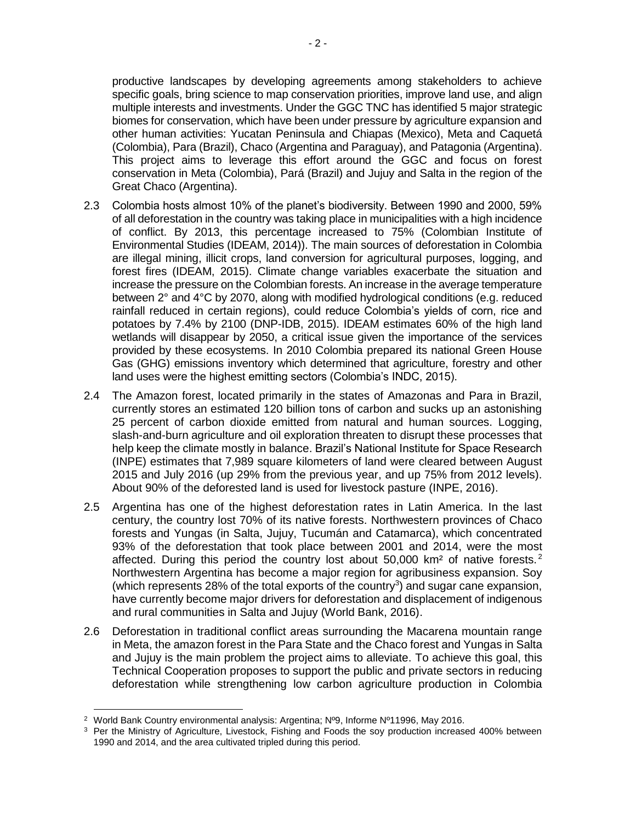- 2 -

productive landscapes by developing agreements among stakeholders to achieve specific goals, bring science to map conservation priorities, improve land use, and align multiple interests and investments. Under the GGC TNC has identified 5 major strategic biomes for conservation, which have been under pressure by agriculture expansion and other human activities: Yucatan Peninsula and Chiapas (Mexico), Meta and Caquetá (Colombia), Para (Brazil), Chaco (Argentina and Paraguay), and Patagonia (Argentina). This project aims to leverage this effort around the GGC and focus on forest conservation in Meta (Colombia), Pará (Brazil) and Jujuy and Salta in the region of the Great Chaco (Argentina).

- 2.3 Colombia hosts almost 10% of the planet's biodiversity. Between 1990 and 2000, 59% of all deforestation in the country was taking place in municipalities with a high incidence of conflict. By 2013, this percentage increased to 75% (Colombian Institute of Environmental Studies (IDEAM, 2014)). The main sources of deforestation in Colombia are illegal mining, illicit crops, land conversion for agricultural purposes, logging, and forest fires (IDEAM, 2015). Climate change variables exacerbate the situation and increase the pressure on the Colombian forests. An increase in the average temperature between 2° and 4°C by 2070, along with modified hydrological conditions (e.g. reduced rainfall reduced in certain regions), could reduce Colombia's yields of corn, rice and potatoes by 7.4% by 2100 (DNP-IDB, 2015). IDEAM estimates 60% of the high land wetlands will disappear by 2050, a critical issue given the importance of the services provided by these ecosystems. In 2010 Colombia prepared its national Green House Gas (GHG) emissions inventory which determined that agriculture, forestry and other land uses were the highest emitting sectors (Colombia's INDC, 2015).
- 2.4 The Amazon forest, located primarily in the states of Amazonas and Para in Brazil, currently stores an estimated 120 billion tons of carbon and sucks up an astonishing 25 percent of carbon dioxide emitted from natural and human sources. Logging, slash-and-burn agriculture and oil exploration threaten to disrupt these processes that help keep the climate mostly in balance. Brazil's National Institute for Space Research (INPE) estimates that 7,989 square kilometers of land were cleared between August 2015 and July 2016 (up 29% from the previous year, and up 75% from 2012 levels). About 90% of the deforested land is used for livestock pasture (INPE, 2016).
- 2.5 Argentina has one of the highest deforestation rates in Latin America. In the last century, the country lost 70% of its native forests. Northwestern provinces of Chaco forests and Yungas (in Salta, Jujuy, Tucumán and Catamarca), which concentrated 93% of the deforestation that took place between 2001 and 2014, were the most affected. During this period the country lost about 50,000 km<sup>2</sup> of native forests.<sup>2</sup> Northwestern Argentina has become a major region for agribusiness expansion. Soy (which represents 28% of the total exports of the country<sup>3</sup>) and sugar cane expansion, have currently become major drivers for deforestation and displacement of indigenous and rural communities in Salta and Jujuy (World Bank, 2016).
- 2.6 Deforestation in traditional conflict areas surrounding the Macarena mountain range in Meta, the amazon forest in the Para State and the Chaco forest and Yungas in Salta and Jujuy is the main problem the project aims to alleviate. To achieve this goal, this Technical Cooperation proposes to support the public and private sectors in reducing deforestation while strengthening low carbon agriculture production in Colombia

 $\overline{\phantom{a}}$ 

<sup>2</sup> World Bank Country environmental analysis: Argentina; Nº9, Informe Nº11996, May 2016.

<sup>&</sup>lt;sup>3</sup> Per the Ministry of Agriculture, Livestock, Fishing and Foods the soy production increased 400% between 1990 and 2014, and the area cultivated tripled during this period.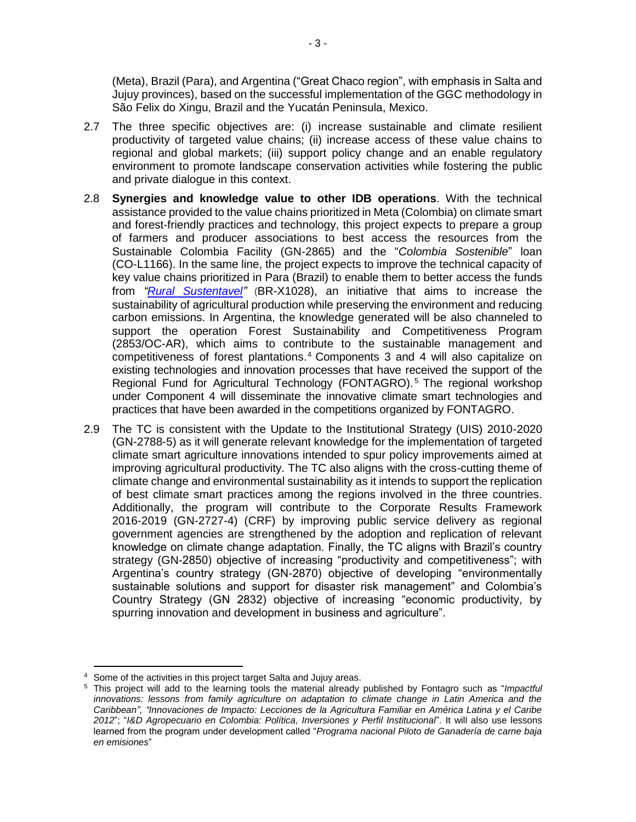(Meta), Brazil (Para), and Argentina ("Great Chaco region", with emphasis in Salta and Jujuy provinces), based on the successful implementation of the GGC methodology in São Felix do Xingu, Brazil and the Yucatán Peninsula, Mexico.

- 2.7 The three specific objectives are: (i) increase sustainable and climate resilient productivity of targeted value chains; (ii) increase access of these value chains to regional and global markets; (iii) support policy change and an enable regulatory environment to promote landscape conservation activities while fostering the public and private dialogue in this context.
- 2.8 **Synergies and knowledge value to other IDB operations**. With the technical assistance provided to the value chains prioritized in Meta (Colombia) on climate smart and forest-friendly practices and technology, this project expects to prepare a group of farmers and producer associations to best access the resources from the Sustainable Colombia Facility (GN-2865) and the "*Colombia Sostenible*" loan (CO-L1166). In the same line, the project expects to improve the technical capacity of key value chains prioritized in Para (Brazil) to enable them to better access the funds from *["Rural Sustentavel"](http://www.ruralsustentavel.org/en/about/)* (BR-X1028), an initiative that aims to increase the sustainability of agricultural production while preserving the environment and reducing carbon emissions. In Argentina, the knowledge generated will be also channeled to support the operation Forest Sustainability and Competitiveness Program (2853/OC-AR), which aims to contribute to the sustainable management and competitiveness of forest plantations. <sup>4</sup> Components 3 and 4 will also capitalize on existing technologies and innovation processes that have received the support of the Regional Fund for Agricultural Technology (FONTAGRO).<sup>5</sup> The regional workshop under Component 4 will disseminate the innovative climate smart technologies and practices that have been awarded in the competitions organized by FONTAGRO.
- 2.9 The TC is consistent with the Update to the Institutional Strategy (UIS) 2010-2020 (GN-2788-5) as it will generate relevant knowledge for the implementation of targeted climate smart agriculture innovations intended to spur policy improvements aimed at improving agricultural productivity. The TC also aligns with the cross-cutting theme of climate change and environmental sustainability as it intends to support the replication of best climate smart practices among the regions involved in the three countries. Additionally, the program will contribute to the Corporate Results Framework 2016-2019 (GN-2727-4) (CRF) by improving public service delivery as regional government agencies are strengthened by the adoption and replication of relevant knowledge on climate change adaptation. Finally, the TC aligns with Brazil's country strategy (GN-2850) objective of increasing "productivity and competitiveness"; with Argentina's country strategy (GN-2870) objective of developing "environmentally sustainable solutions and support for disaster risk management" and Colombia's Country Strategy (GN 2832) objective of increasing "economic productivity, by spurring innovation and development in business and agriculture".

 $\overline{a}$ <sup>4</sup> Some of the activities in this project target Salta and Jujuy areas.

<sup>5</sup> This project will add to the learning tools the material already published by Fontagro such as "*[Impactful](https://www.fontagro.org/en/publications/fontagros-publications/impactful-innovations/)  [innovations: lessons from family agriculture on adaptation to climate change in Latin America and the](https://www.fontagro.org/en/publications/fontagros-publications/impactful-innovations/)  [Caribbean"](https://www.fontagro.org/en/publications/fontagros-publications/impactful-innovations/), ["Innovaciones de Impacto: Lecciones de la Agricultura Familiar en América Latina y el Caribe](https://www.fontagro.org/es/publicaciones/publicaciones-fontagro/innovaciones-de-impacto-lecciones-de-la-agricultura-familiar-en-america-latina-y-el-caribe-2012/)  [2012](https://www.fontagro.org/es/publicaciones/publicaciones-fontagro/innovaciones-de-impacto-lecciones-de-la-agricultura-familiar-en-america-latina-y-el-caribe-2012/)*"; "*[I&D Agropecuario en Colombia: Política, Inversiones y Perfil Institucional](https://www.fontagro.org/es/publicaciones/publicaciones-fontagro/id-agropecuario-en-colombia-politica-inversiones-y-perfil-institucional/)*"*.* It will also use lessons learned from the program under development called "*Programa nacional Piloto de Ganadería de carne baja en emisiones*"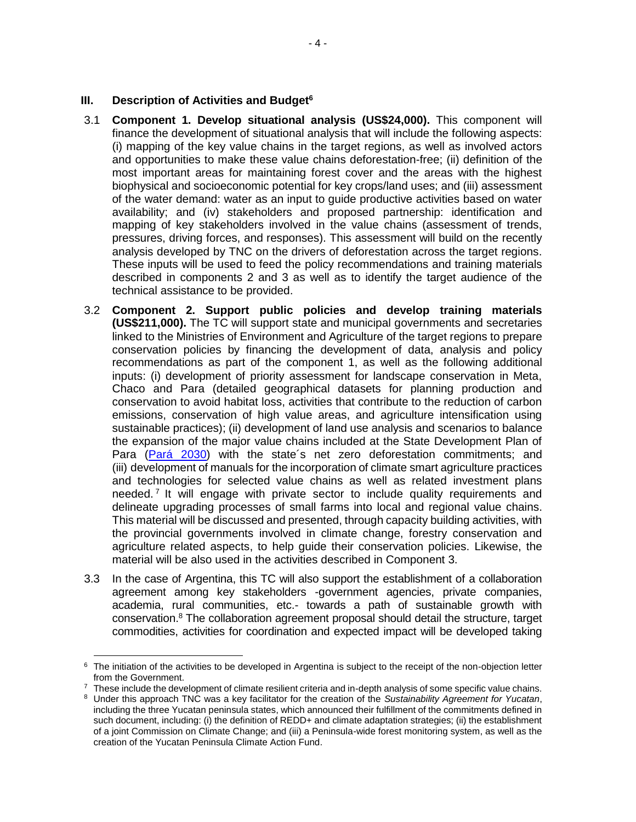#### **III. Description of Activities and Budget<sup>6</sup>**

- 3.1 **Component 1. Develop situational analysis (US\$24,000).** This component will finance the development of situational analysis that will include the following aspects: (i) mapping of the key value chains in the target regions, as well as involved actors and opportunities to make these value chains deforestation-free; (ii) definition of the most important areas for maintaining forest cover and the areas with the highest biophysical and socioeconomic potential for key crops/land uses; and (iii) assessment of the water demand: water as an input to guide productive activities based on water availability; and (iv) stakeholders and proposed partnership: identification and mapping of key stakeholders involved in the value chains (assessment of trends, pressures, driving forces, and responses). This assessment will build on the recently analysis developed by TNC on the drivers of deforestation across the target regions. These inputs will be used to feed the policy recommendations and training materials described in components 2 and 3 as well as to identify the target audience of the technical assistance to be provided.
- 3.2 **Component 2. Support public policies and develop training materials (US\$211,000).** The TC will support state and municipal governments and secretaries linked to the Ministries of Environment and Agriculture of the target regions to prepare conservation policies by financing the development of data, analysis and policy recommendations as part of the component 1, as well as the following additional inputs: (i) development of priority assessment for landscape conservation in Meta, Chaco and Para (detailed geographical datasets for planning production and conservation to avoid habitat loss, activities that contribute to the reduction of carbon emissions, conservation of high value areas, and agriculture intensification using sustainable practices); (ii) development of land use analysis and scenarios to balance the expansion of the major value chains included at the State Development Plan of Para [\(Pará 2030\)](http://para2030.com.br/) with the state´s net zero deforestation commitments; and (iii) development of manuals for the incorporation of climate smart agriculture practices and technologies for selected value chains as well as related investment plans needed.<sup>7</sup> It will engage with private sector to include quality requirements and delineate upgrading processes of small farms into local and regional value chains. This material will be discussed and presented, through capacity building activities, with the provincial governments involved in climate change, forestry conservation and agriculture related aspects, to help guide their conservation policies. Likewise, the material will be also used in the activities described in Component 3.
- 3.3 In the case of Argentina, this TC will also support the establishment of a collaboration agreement among key stakeholders -government agencies, private companies, academia, rural communities, etc.- towards a path of sustainable growth with conservation. <sup>8</sup> The collaboration agreement proposal should detail the structure, target commodities, activities for coordination and expected impact will be developed taking

 $\overline{\phantom{a}}$ <sup>6</sup> The initiation of the activities to be developed in Argentina is subject to the receipt of the non-objection letter from the Government.

 $7\text{}$  These include the development of climate resilient criteria and in-depth analysis of some specific value chains.

<sup>8</sup> Under this approach TNC was a key facilitator for the creation of the *Sustainability Agreement for Yucatan*, including the three Yucatan peninsula states, which announced their fulfillment of the commitments defined in such document, including: (i) the definition of REDD+ and climate adaptation strategies; (ii) the establishment of a joint Commission on Climate Change; and (iii) a Peninsula-wide forest monitoring system, as well as the creation of the Yucatan Peninsula Climate Action Fund.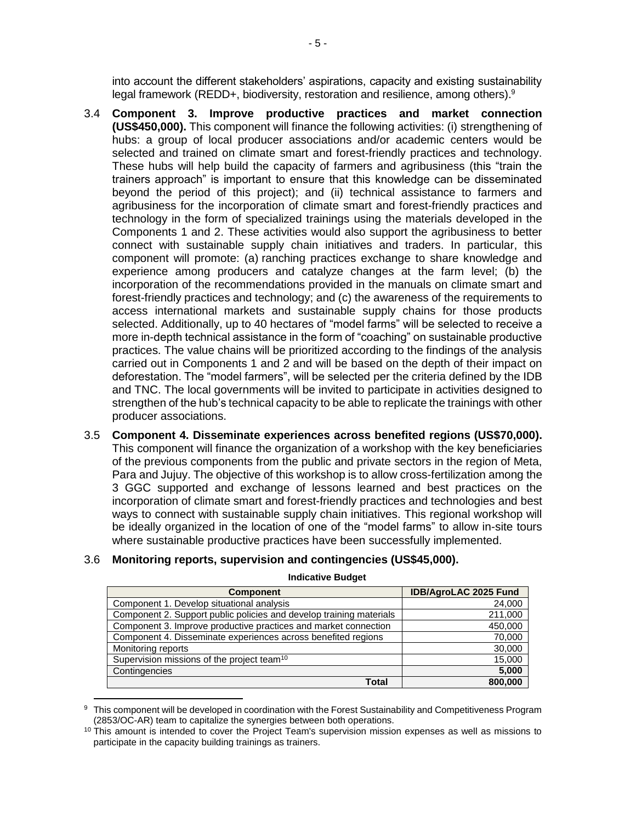into account the different stakeholders' aspirations, capacity and existing sustainability legal framework (REDD+, biodiversity, restoration and resilience, among others).<sup>9</sup>

- 3.4 **Component 3. Improve productive practices and market connection (US\$450,000).** This component will finance the following activities: (i) strengthening of hubs: a group of local producer associations and/or academic centers would be selected and trained on climate smart and forest-friendly practices and technology. These hubs will help build the capacity of farmers and agribusiness (this "train the trainers approach" is important to ensure that this knowledge can be disseminated beyond the period of this project); and (ii) technical assistance to farmers and agribusiness for the incorporation of climate smart and forest-friendly practices and technology in the form of specialized trainings using the materials developed in the Components 1 and 2. These activities would also support the agribusiness to better connect with sustainable supply chain initiatives and traders. In particular, this component will promote: (a) ranching practices exchange to share knowledge and experience among producers and catalyze changes at the farm level; (b) the incorporation of the recommendations provided in the manuals on climate smart and forest-friendly practices and technology; and (c) the awareness of the requirements to access international markets and sustainable supply chains for those products selected. Additionally, up to 40 hectares of "model farms" will be selected to receive a more in-depth technical assistance in the form of "coaching" on sustainable productive practices. The value chains will be prioritized according to the findings of the analysis carried out in Components 1 and 2 and will be based on the depth of their impact on deforestation. The "model farmers", will be selected per the criteria defined by the IDB and TNC. The local governments will be invited to participate in activities designed to strengthen of the hub's technical capacity to be able to replicate the trainings with other producer associations.
- 3.5 **Component 4. Disseminate experiences across benefited regions (US\$70,000).** This component will finance the organization of a workshop with the key beneficiaries of the previous components from the public and private sectors in the region of Meta, Para and Jujuy. The objective of this workshop is to allow cross-fertilization among the 3 GGC supported and exchange of lessons learned and best practices on the incorporation of climate smart and forest-friendly practices and technologies and best ways to connect with sustainable supply chain initiatives. This regional workshop will be ideally organized in the location of one of the "model farms" to allow in-site tours where sustainable productive practices have been successfully implemented.

#### 3.6 **Monitoring reports, supervision and contingencies (US\$45,000).**

 $\overline{\phantom{a}}$ 

| <b>Component</b>                                                    | <b>IDB/AgroLAC 2025 Fund</b> |  |
|---------------------------------------------------------------------|------------------------------|--|
| Component 1. Develop situational analysis                           | 24,000                       |  |
| Component 2. Support public policies and develop training materials | 211,000                      |  |
| Component 3. Improve productive practices and market connection     | 450,000                      |  |
| Component 4. Disseminate experiences across benefited regions       | 70,000                       |  |
| Monitoring reports                                                  | 30,000                       |  |
| Supervision missions of the project team <sup>10</sup>              | 15,000                       |  |
| Contingencies                                                       | 5,000                        |  |
| Total                                                               | 800,000                      |  |

**Indicative Budget**

This component will be developed in coordination with the Forest Sustainability and Competitiveness Program (2853/OC-AR) team to capitalize the synergies between both operations.

 $10$  This amount is intended to cover the Project Team's supervision mission expenses as well as missions to participate in the capacity building trainings as trainers.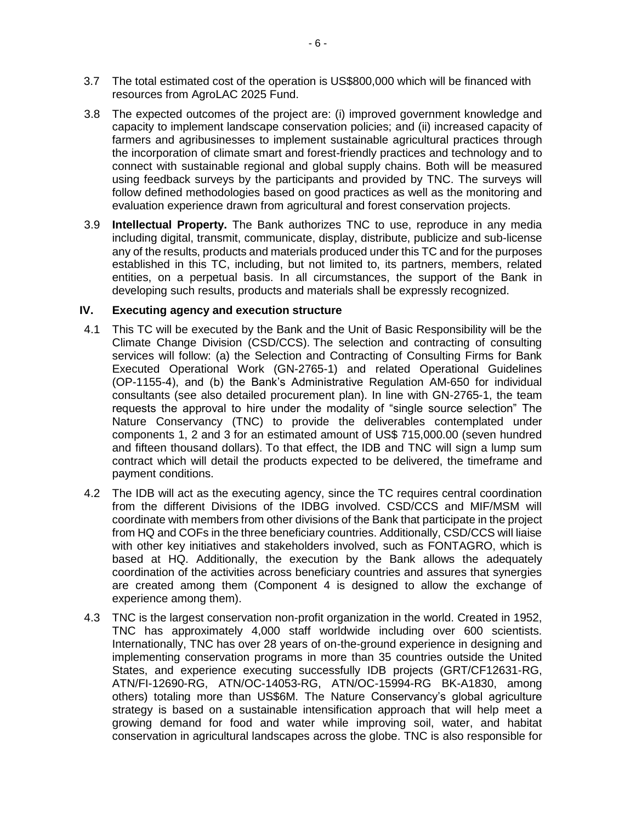- 3.7 The total estimated cost of the operation is US\$800,000 which will be financed with resources from AgroLAC 2025 Fund.
- 3.8 The expected outcomes of the project are: (i) improved government knowledge and capacity to implement landscape conservation policies; and (ii) increased capacity of farmers and agribusinesses to implement sustainable agricultural practices through the incorporation of climate smart and forest-friendly practices and technology and to connect with sustainable regional and global supply chains. Both will be measured using feedback surveys by the participants and provided by TNC. The surveys will follow defined methodologies based on good practices as well as the monitoring and evaluation experience drawn from agricultural and forest conservation projects.
- 3.9 **Intellectual Property.** The Bank authorizes TNC to use, reproduce in any media including digital, transmit, communicate, display, distribute, publicize and sub-license any of the results, products and materials produced under this TC and for the purposes established in this TC, including, but not limited to, its partners, members, related entities, on a perpetual basis. In all circumstances, the support of the Bank in developing such results, products and materials shall be expressly recognized.

## **IV. Executing agency and execution structure**

- 4.1 This TC will be executed by the Bank and the Unit of Basic Responsibility will be the Climate Change Division (CSD/CCS). The selection and contracting of consulting services will follow: (a) the Selection and Contracting of Consulting Firms for Bank Executed Operational Work (GN-2765-1) and related Operational Guidelines (OP-1155-4), and (b) the Bank's Administrative Regulation AM-650 for individual consultants (see also detailed procurement plan). In line with GN-2765-1, the team requests the approval to hire under the modality of "single source selection" The Nature Conservancy (TNC) to provide the deliverables contemplated under components 1, 2 and 3 for an estimated amount of US\$ 715,000.00 (seven hundred and fifteen thousand dollars). To that effect, the IDB and TNC will sign a lump sum contract which will detail the products expected to be delivered, the timeframe and payment conditions.
- 4.2 The IDB will act as the executing agency, since the TC requires central coordination from the different Divisions of the IDBG involved. CSD/CCS and MIF/MSM will coordinate with members from other divisions of the Bank that participate in the project from HQ and COFs in the three beneficiary countries. Additionally, CSD/CCS will liaise with other key initiatives and stakeholders involved, such as FONTAGRO, which is based at HQ. Additionally, the execution by the Bank allows the adequately coordination of the activities across beneficiary countries and assures that synergies are created among them (Component 4 is designed to allow the exchange of experience among them).
- 4.3 TNC is the largest conservation non-profit organization in the world. Created in 1952, TNC has approximately 4,000 staff worldwide including over 600 scientists. Internationally, TNC has over 28 years of on-the-ground experience in designing and implementing conservation programs in more than 35 countries outside the United States, and experience executing successfully IDB projects (GRT/CF12631-RG, ATN/FI-12690-RG, ATN/OC-14053-RG, ATN/OC-15994-RG BK-A1830, among others) totaling more than US\$6M. The Nature Conservancy's global agriculture strategy is based on a sustainable intensification approach that will help meet a growing demand for food and water while improving soil, water, and habitat conservation in agricultural landscapes across the globe. TNC is also responsible for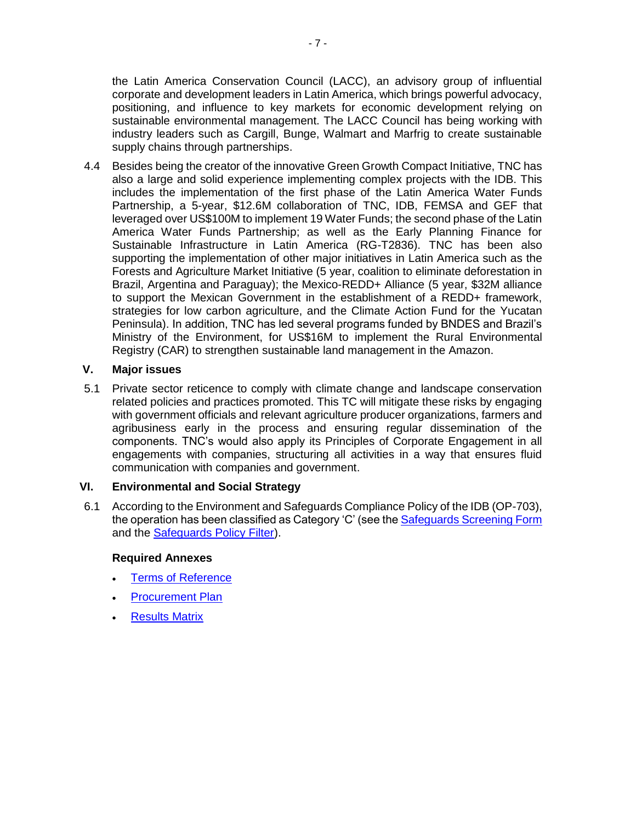the Latin America Conservation Council (LACC), an advisory group of influential corporate and development leaders in Latin America, which brings powerful advocacy, positioning, and influence to key markets for economic development relying on sustainable environmental management. The LACC Council has being working with industry leaders such as Cargill, Bunge, Walmart and Marfrig to create sustainable supply chains through partnerships.

4.4 Besides being the creator of the innovative Green Growth Compact Initiative, TNC has also a large and solid experience implementing complex projects with the IDB. This includes the implementation of the first phase of the Latin America Water Funds Partnership, a 5-year, \$12.6M collaboration of TNC, IDB, FEMSA and GEF that leveraged over US\$100M to implement 19 Water Funds; the second phase of the Latin America Water Funds Partnership; as well as the Early Planning Finance for Sustainable Infrastructure in Latin America (RG-T2836). TNC has been also supporting the implementation of other major initiatives in Latin America such as the Forests and Agriculture Market Initiative (5 year, coalition to eliminate deforestation in Brazil, Argentina and Paraguay); the Mexico-REDD+ Alliance (5 year, \$32M alliance to support the Mexican Government in the establishment of a REDD+ framework, strategies for low carbon agriculture, and the Climate Action Fund for the Yucatan Peninsula). In addition, TNC has led several programs funded by BNDES and Brazil's Ministry of the Environment, for US\$16M to implement the Rural Environmental Registry (CAR) to strengthen sustainable land management in the Amazon.

## **V. Major issues**

5.1 Private sector reticence to comply with climate change and landscape conservation related policies and practices promoted. This TC will mitigate these risks by engaging with government officials and relevant agriculture producer organizations, farmers and agribusiness early in the process and ensuring regular dissemination of the components. TNC's would also apply its Principles of Corporate Engagement in all engagements with companies, structuring all activities in a way that ensures fluid communication with companies and government.

## **VI. Environmental and Social Strategy**

6.1 According to the Environment and Safeguards Compliance Policy of the IDB (OP-703), the operation has been classified as Category 'C' (see the [Safeguards Screening Form](https://idbg-my.sharepoint.com/personal/cguiza_iadb_org/_layouts/15/guestaccess.aspx?guestaccesstoken=WDWMhj9B5ZF5HEAvHhjUGw7LW%2b0W2IdhDt3iaENFUMs%3d&docid=2_1a1f74af1b85a4e9090660c8960a58e66&rev=1) and the [Safeguards Policy Filter\)](https://idbg-my.sharepoint.com/personal/cguiza_iadb_org/_layouts/15/guestaccess.aspx?guestaccesstoken=d1QEflqBq6MBZtx77pjDFsnYEPc5yL%2buavScWWv%2fs%2b0%3d&docid=2_13fd6112732a54c77883a3832737c7bde&rev=1).

#### **Required Annexes**

- [Terms of Reference](https://idbg-my.sharepoint.com/personal/cguiza_iadb_org/_layouts/15/guestaccess.aspx?guestaccesstoken=%2fZbii%2fFCPWq%2fdPXfsbpSfBf3dhDJZ4DDGnpL%2behZmXs%3d&docid=2_1ec644947835b49a8804762df44c9638e&rev=1)
- [Procurement Plan](https://idbg-my.sharepoint.com/personal/cguiza_iadb_org/_layouts/15/guestaccess.aspx?guestaccesstoken=m555IkwEW9eoWuWsvi8v73oz88r1yq%2fXppT2rfc77oM%3d&docid=2_1bbd428764b1042649e8b904541196ada&rev=1)
- [Results Matrix](https://idbg-my.sharepoint.com/personal/cguiza_iadb_org/_layouts/15/guestaccess.aspx?guestaccesstoken=F5PN8U61uh56%2b2VAgWp4RZaStECJbOlt%2bq03%2f5UR7RE%3d&docid=2_1f5bdeb16ee4f4609a35744cff696558f&rev=1)